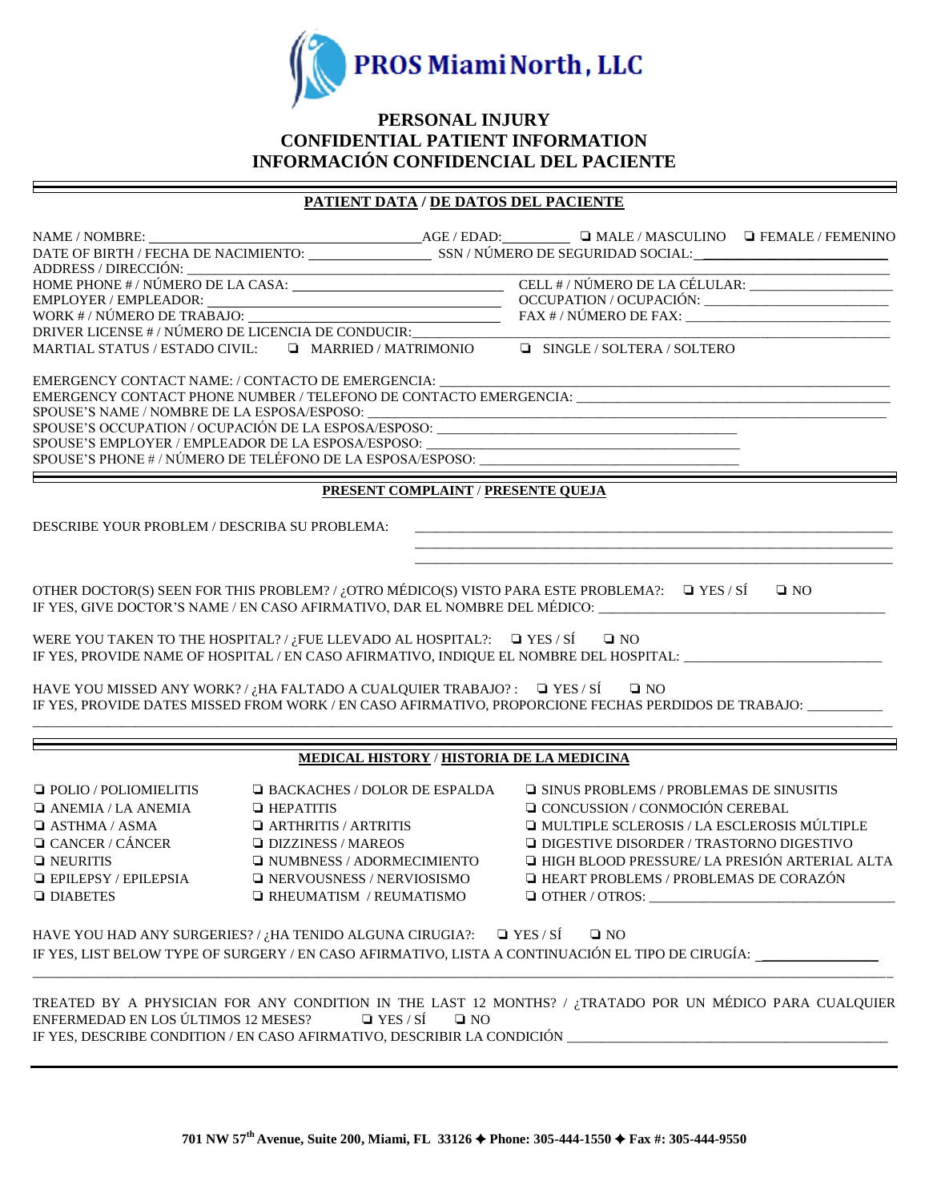

## **PERSONAL INJURY CONFIDENTIAL PATIENT INFORMATION INFORMACIÓN CONFIDENCIAL DEL PACIENTE**

# **PATIENT DATA / DE DATOS DEL PACIENTE**

| DRIVER LICENSE #/NÚMERO DE LICENCIA DE CONDUCIR:                                               |                                           |                                    |                                                                                                                |              |  |  |  |  |
|------------------------------------------------------------------------------------------------|-------------------------------------------|------------------------------------|----------------------------------------------------------------------------------------------------------------|--------------|--|--|--|--|
| MARTIAL STATUS / ESTADO CIVIL: $\Box$ MARRIED / MATRIMONIO                                     |                                           |                                    | <b>E</b> SINGLE / SOLTERA / SOLTERO                                                                            |              |  |  |  |  |
| EMERGENCY CONTACT NAME: / CONTACTO DE EMERGENCIA:                                              |                                           |                                    |                                                                                                                |              |  |  |  |  |
|                                                                                                |                                           |                                    |                                                                                                                |              |  |  |  |  |
| SPOUSE'S NAME / NOMBRE DE LA ESPOSA/ESPOSO:                                                    |                                           |                                    |                                                                                                                |              |  |  |  |  |
|                                                                                                |                                           |                                    |                                                                                                                |              |  |  |  |  |
|                                                                                                |                                           |                                    | SPOUSE'S PHONE # / NÚMERO DE TELÉFONO DE LA ESPOSA/ESPOSO: ______________________                              |              |  |  |  |  |
|                                                                                                |                                           |                                    |                                                                                                                |              |  |  |  |  |
|                                                                                                |                                           | PRESENT COMPLAINT / PRESENTE QUEJA |                                                                                                                |              |  |  |  |  |
| DESCRIBE YOUR PROBLEM / DESCRIBA SU PROBLEMA:                                                  |                                           |                                    |                                                                                                                |              |  |  |  |  |
|                                                                                                |                                           |                                    |                                                                                                                |              |  |  |  |  |
|                                                                                                |                                           |                                    |                                                                                                                |              |  |  |  |  |
|                                                                                                |                                           |                                    | OTHER DOCTOR(S) SEEN FOR THIS PROBLEM? / ¿OTRO MÉDICO(S) VISTO PARA ESTE PROBLEMA?: $\Box$ YES / SÍ            | $\square$ NO |  |  |  |  |
|                                                                                                |                                           |                                    | IF YES, GIVE DOCTOR'S NAME / EN CASO AFIRMATIVO, DAR EL NOMBRE DEL MÉDICO: ________________________            |              |  |  |  |  |
| WERE YOU TAKEN TO THE HOSPITAL?/ $\iota_i$ FUE LLEVADO AL HOSPITAL?: $\Box$ YES / SÍ $\Box$ NO |                                           |                                    |                                                                                                                |              |  |  |  |  |
|                                                                                                |                                           |                                    | IF YES, PROVIDE NAME OF HOSPITAL / EN CASO AFIRMATIVO, INDIQUE EL NOMBRE DEL HOSPITAL: _______________________ |              |  |  |  |  |
| HAVE YOU MISSED ANY WORK?/ $i$ HA FALTADO A CUALQUIER TRABAJO?: $\Box$ YES/SÍ $\Box$ NO        |                                           |                                    |                                                                                                                |              |  |  |  |  |
|                                                                                                |                                           |                                    | IF YES, PROVIDE DATES MISSED FROM WORK / EN CASO AFIRMATIVO, PROPORCIONE FECHAS PERDIDOS DE TRABAJO:           |              |  |  |  |  |
|                                                                                                |                                           |                                    |                                                                                                                |              |  |  |  |  |
|                                                                                                | MEDICAL HISTORY / HISTORIA DE LA MEDICINA |                                    |                                                                                                                |              |  |  |  |  |
| $\Box$ POLIO / POLIOMIELITIS                                                                   | $\Box$ BACKACHES / DOLOR DE ESPALDA       |                                    | □ SINUS PROBLEMS / PROBLEMAS DE SINUSITIS                                                                      |              |  |  |  |  |
| $\Box$ ANEMIA / LA ANEMIA                                                                      | $\Box$ HEPATITIS                          |                                    | <b>Q</b> CONCUSSION / CONMOCIÓN CEREBAL                                                                        |              |  |  |  |  |
| $\Box$ ASTHMA / ASMA                                                                           | $\Box$ ARTHRITIS / ARTRITIS               |                                    | I MULTIPLE SCLEROSIS / LA ESCLEROSIS MÚLTIPLE                                                                  |              |  |  |  |  |
| $\Box$ CANCER / CÁNCER                                                                         | $\Box$ DIZZINESS / MAREOS                 |                                    | $\Box$ DIGESTIVE DISORDER / TRASTORNO DIGESTIVO                                                                |              |  |  |  |  |
| $\hfill\Box$ NEURITIS                                                                          | $\Box$ NUMBNESS / ADORMECIMIENTO          |                                    | I HIGH BLOOD PRESSURE/ LA PRESIÓN ARTERIAL ALTA                                                                |              |  |  |  |  |
| $\Box$ EPILEPSY / EPILEPSIA                                                                    | $\Box$ NERVOUSNESS / NERVIOSISMO          |                                    | $\Box$ HEART PROBLEMS / PROBLEMAS DE CORAZÓN                                                                   |              |  |  |  |  |
| <b>Q</b> DIABETES                                                                              | $\Box$ RHEUMATISM / REUMATISMO            |                                    |                                                                                                                |              |  |  |  |  |
|                                                                                                |                                           |                                    |                                                                                                                |              |  |  |  |  |
| HAVE YOU HAD ANY SURGERIES?/ $i$ HA TENIDO ALGUNA CIRUGIA?: $\Box$ YES/SÍ                      |                                           |                                    | $\square$ NO                                                                                                   |              |  |  |  |  |
|                                                                                                |                                           |                                    | IF YES, LIST BELOW TYPE OF SURGERY / EN CASO AFIRMATIVO, LISTA A CONTINUACIÓN EL TIPO DE CIRUGÍA:              |              |  |  |  |  |
|                                                                                                |                                           |                                    |                                                                                                                |              |  |  |  |  |
| ENFERMEDAD EN LOS ÚLTIMOS 12 MESES?                                                            | $\Box$ YES / SÍ                           | $\square$ NO                       | TREATED BY A PHYSICIAN FOR ANY CONDITION IN THE LAST 12 MONTHS? / ¿TRATADO POR UN MÉDICO PARA CUALQUIER        |              |  |  |  |  |
|                                                                                                |                                           |                                    | IF YES, DESCRIBE CONDITION / EN CASO AFIRMATIVO, DESCRIBIR LA CONDICIÓN ____________________________           |              |  |  |  |  |
|                                                                                                |                                           |                                    |                                                                                                                |              |  |  |  |  |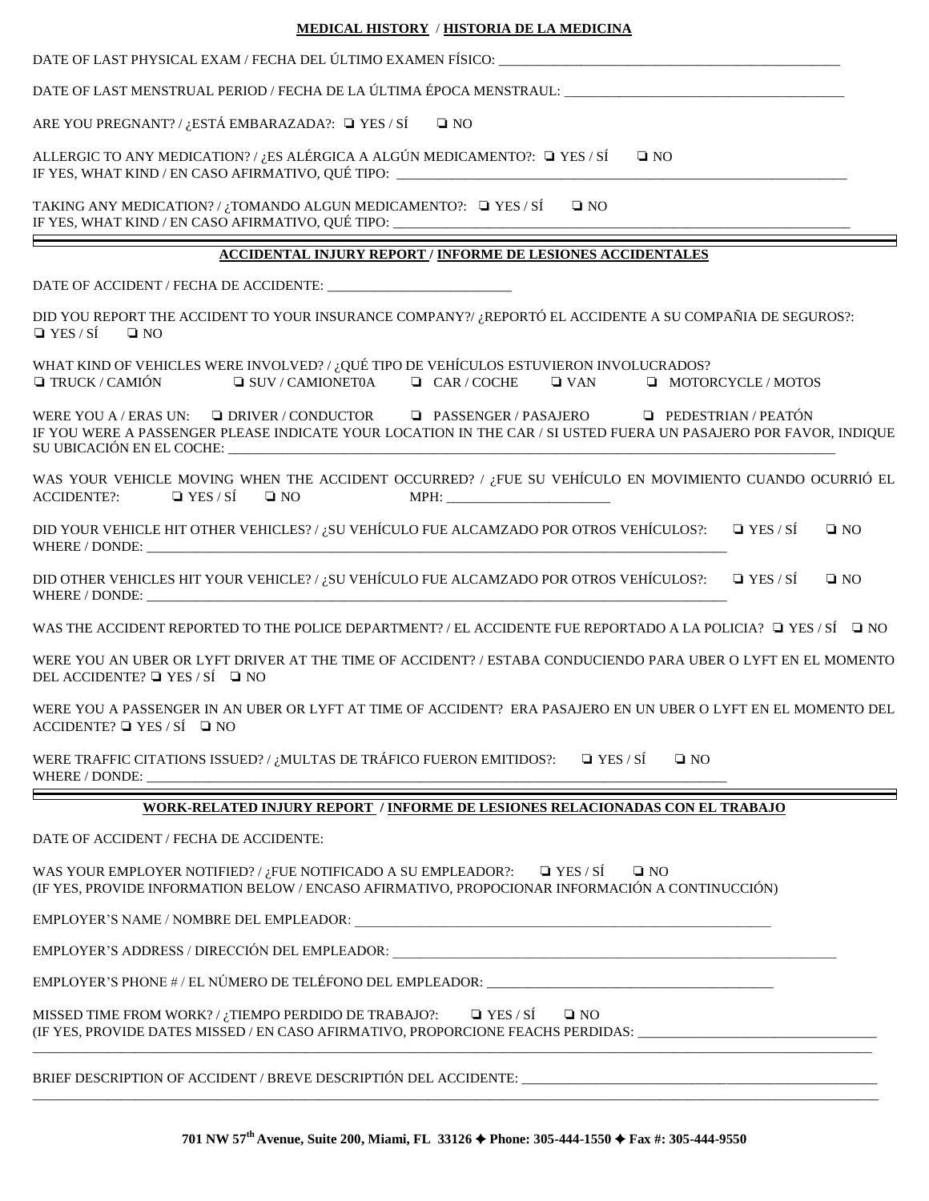| <b>MEDICAL HISTORY / HISTORIA DE LA MEDICINA</b>                                                                                                                                                                                                                                                                               |  |  |  |  |  |
|--------------------------------------------------------------------------------------------------------------------------------------------------------------------------------------------------------------------------------------------------------------------------------------------------------------------------------|--|--|--|--|--|
|                                                                                                                                                                                                                                                                                                                                |  |  |  |  |  |
| DATE OF LAST MENSTRUAL PERIOD / FECHA DE LA ÚLTIMA ÉPOCA MENSTRAUL: ________________________________                                                                                                                                                                                                                           |  |  |  |  |  |
| ARE YOU PREGNANT? / ¿ESTÁ EMBARAZADA?: $\Box$ YES / SÍ<br>$\square$ NO                                                                                                                                                                                                                                                         |  |  |  |  |  |
| ALLERGIC TO ANY MEDICATION? / ¿ES ALÉRGICA A ALGÚN MEDICAMENTO?: $\Box$ YES / SÍ $\Box$ NO<br>IF YES, WHAT KIND / EN CASO AFIRMATIVO, QUÉ TIPO: ______________________________                                                                                                                                                 |  |  |  |  |  |
| TAKING ANY MEDICATION? / ¿TOMANDO ALGUN MEDICAMENTO?: $\Box$ YES / SÍ<br>$\square$ NO<br>IF YES, WHAT KIND / EN CASO AFIRMATIVO, QUÉ TIPO: ______________________________                                                                                                                                                      |  |  |  |  |  |
| <b>ACCIDENTAL INJURY REPORT / INFORME DE LESIONES ACCIDENTALES</b>                                                                                                                                                                                                                                                             |  |  |  |  |  |
|                                                                                                                                                                                                                                                                                                                                |  |  |  |  |  |
| DID YOU REPORT THE ACCIDENT TO YOUR INSURANCE COMPANY?/ ¿REPORTÓ EL ACCIDENTE A SU COMPAÑIA DE SEGUROS?:<br>$\Box$ YES / SÍ<br>$\square$ NO                                                                                                                                                                                    |  |  |  |  |  |
| WHAT KIND OF VEHICLES WERE INVOLVED? / ¿QUÉ TIPO DE VEHÍCULOS ESTUVIERON INVOLUCRADOS?<br>$\Box$ TRUCK / CAMIÓN<br>$\Box$ SUV/CAMIONET0A $\Box$ CAR/COCHE<br>$\Box$ MOTORCYCLE / MOTOS<br>$\Box$ VAN                                                                                                                           |  |  |  |  |  |
| WERE YOU A / ERAS UN: $\Box$ DRIVER / CONDUCTOR $\Box$ PASSENGER / PASAJERO $\Box$ PEDESTRIAN / PEATÓN<br>IF YOU WERE A PASSENGER PLEASE INDICATE YOUR LOCATION IN THE CAR / SI USTED FUERA UN PASAJERO POR FAVOR, INDIQUE                                                                                                     |  |  |  |  |  |
| WAS YOUR VEHICLE MOVING WHEN THE ACCIDENT OCCURRED? / ¿FUE SU VEHÍCULO EN MOVIMIENTO CUANDO OCURRIÓ EL<br>$\Box$ YES / SÍ<br>$\square$ NO<br><b>ACCIDENTE?:</b>                                                                                                                                                                |  |  |  |  |  |
| DID YOUR VEHICLE HIT OTHER VEHICLES? / ¿SU VEHÍCULO FUE ALCAMZADO POR OTROS VEHÍCULOS?: $\Box$ YES / SÍ<br>$\square$ NO                                                                                                                                                                                                        |  |  |  |  |  |
| DID OTHER VEHICLES HIT YOUR VEHICLE? / ¿SU VEHÍCULO FUE ALCAMZADO POR OTROS VEHÍCULOS?: $\square$ YES / SÍ<br>$\square$ NO                                                                                                                                                                                                     |  |  |  |  |  |
| WAS THE ACCIDENT REPORTED TO THE POLICE DEPARTMENT? / EL ACCIDENTE FUE REPORTADO A LA POLICIA? $\Box$ YES / SÍ $\Box$ NO                                                                                                                                                                                                       |  |  |  |  |  |
| WERE YOU AN UBER OR LYFT DRIVER AT THE TIME OF ACCIDENT? / ESTABA CONDUCIENDO PARA UBER O LYFT EN EL MOMENTO<br>DEL ACCIDENTE? $\Box$ YES / SÍ $\Box$ NO                                                                                                                                                                       |  |  |  |  |  |
| WERE YOU A PASSENGER IN AN UBER OR LYFT AT TIME OF ACCIDENT? ERA PASAJERO EN UN UBER O LYFT EN EL MOMENTO DEL<br>ACCIDENTE? $\Box$ YES / SÍ $\Box$ NO                                                                                                                                                                          |  |  |  |  |  |
| WERE TRAFFIC CITATIONS ISSUED? / ¿MULTAS DE TRÁFICO FUERON EMITIDOS?: $\Box$ YES / SÍ<br>$\square$ NO                                                                                                                                                                                                                          |  |  |  |  |  |
| WORK-RELATED INJURY REPORT / INFORME DE LESIONES RELACIONADAS CON EL TRABAJO                                                                                                                                                                                                                                                   |  |  |  |  |  |
| DATE OF ACCIDENT / FECHA DE ACCIDENTE:                                                                                                                                                                                                                                                                                         |  |  |  |  |  |
| WAS YOUR EMPLOYER NOTIFIED? / ¿FUE NOTIFICADO A SU EMPLEADOR?: $\Box$ YES / SÍ<br>$\square$ NO<br>(IF YES, PROVIDE INFORMATION BELOW / ENCASO AFIRMATIVO, PROPOCIONAR INFORMACIÓN A CONTINUCCIÓN)                                                                                                                              |  |  |  |  |  |
|                                                                                                                                                                                                                                                                                                                                |  |  |  |  |  |
| EMPLOYER'S ADDRESS / DIRECCIÓN DEL EMPLEADOR: ___________________________________                                                                                                                                                                                                                                              |  |  |  |  |  |
| EMPLOYER'S PHONE #/EL NÚMERO DE TELÉFONO DEL EMPLEADOR: _________________________                                                                                                                                                                                                                                              |  |  |  |  |  |
| $\Box$ YES / SÍ<br>MISSED TIME FROM WORK? / ¿TIEMPO PERDIDO DE TRABAJO?:<br>$\Box$ NO<br>(IF YES, PROVIDE DATES MISSED / EN CASO AFIRMATIVO, PROPORCIONE FEACHS PERDIDAS: _____________________________<br><u> 1980 - Johann John Harry, mars eta bainar eta baina eta erromana eta erromana eta erromana eta erromana eta</u> |  |  |  |  |  |
| BRIEF DESCRIPTION OF ACCIDENT / BREVE DESCRIPTIÓN DEL ACCIDENTE: ___________________________________                                                                                                                                                                                                                           |  |  |  |  |  |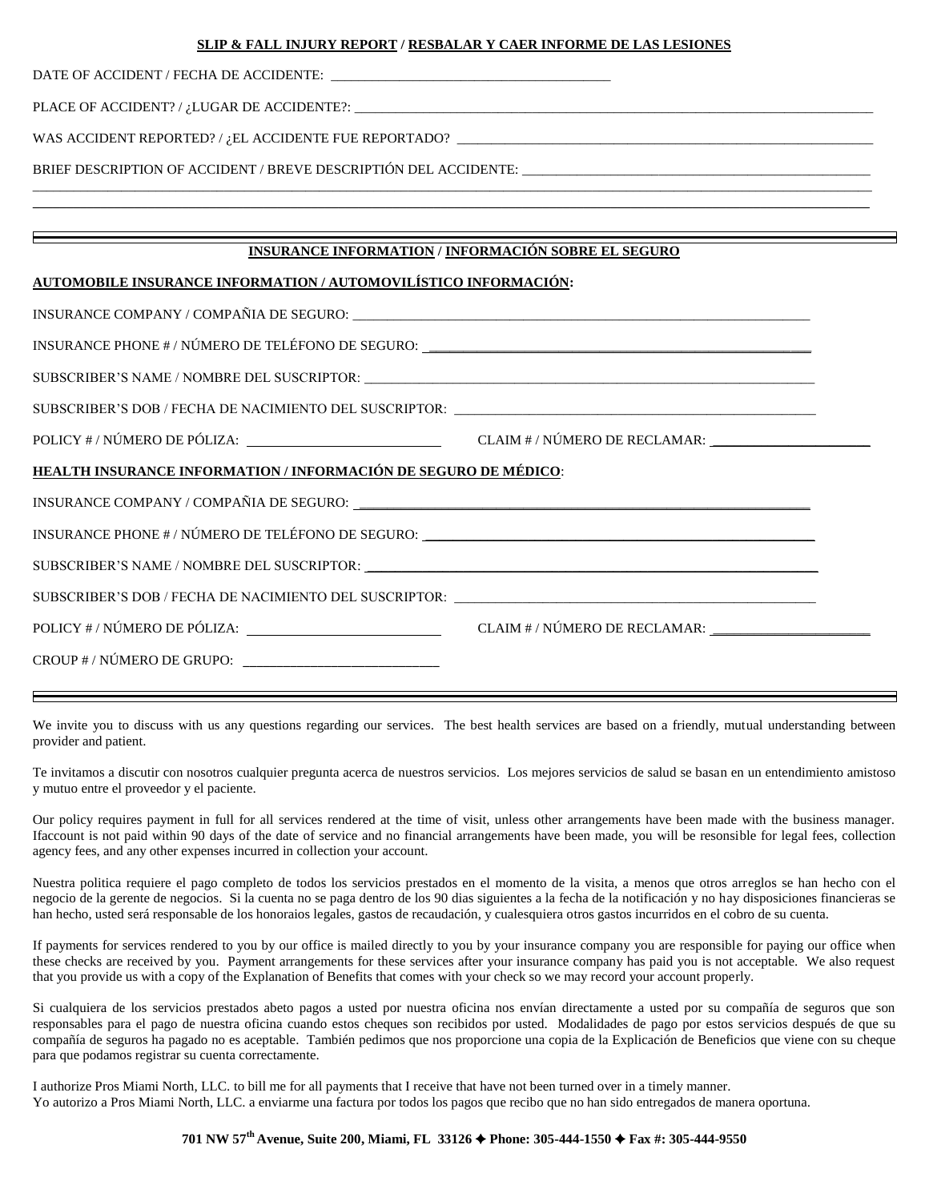#### **SLIP & FALL INJURY REPORT / RESBALAR Y CAER INFORME DE LAS LESIONES**

| DATE OF ACCIDENT / FECHA DE ACCIDENTE: |  |
|----------------------------------------|--|
|----------------------------------------|--|

PLACE OF ACCIDENT? / ¿LUGAR DE ACCIDENTE?: \_\_

WAS ACCIDENT REPORTED? /  $i$ EL ACCIDENTE FUE REPORTADO?  $\qquad$ 

BRIEF DESCRIPTION OF ACCIDENT / BREVE DESCRIPTIÓN DEL ACCIDENTE:

### **INSURANCE INFORMATION / INFORMACIÓN SOBRE EL SEGURO**

\_\_\_\_\_\_\_\_\_\_\_\_\_\_\_\_\_\_\_\_\_\_\_\_\_\_\_\_\_\_\_\_\_\_\_\_\_\_\_\_\_\_\_\_\_\_\_\_\_\_\_\_\_\_\_\_\_\_\_\_\_\_\_\_\_\_\_\_\_\_\_\_\_\_\_\_\_\_\_\_\_\_\_\_\_\_\_\_\_\_\_\_\_\_\_\_\_\_\_\_\_\_\_\_\_\_\_\_\_\_\_\_\_\_\_\_\_\_\_\_\_\_\_  $\_$  , and the set of the set of the set of the set of the set of the set of the set of the set of the set of the set of the set of the set of the set of the set of the set of the set of the set of the set of the set of th

#### **AUTOMOBILE INSURANCE INFORMATION / AUTOMOVILÍSTICO INFORMACIÓN:**

| POLICY # / NÚMERO DE PÓLIZA: CLAIM # / NÚMERO DE RECLAMAR: CLAIM # / NÚMERO DE RECLAMAR: |  |  |  |  |  |
|------------------------------------------------------------------------------------------|--|--|--|--|--|
| HEALTH INSURANCE INFORMATION / INFORMACIÓN DE SEGURO DE MÉDICO:                          |  |  |  |  |  |
|                                                                                          |  |  |  |  |  |
| INSURANCE PHONE # / NÚMERO DE TELÉFONO DE SEGURO: _______________________________        |  |  |  |  |  |
|                                                                                          |  |  |  |  |  |
| SUBSCRIBER'S DOB / FECHA DE NACIMIENTO DEL SUSCRIPTOR: __________________________        |  |  |  |  |  |
| POLICY # / NÚMERO DE PÓLIZA: CLAIM # / NÚMERO DE RECLAMAR: _____________________         |  |  |  |  |  |
|                                                                                          |  |  |  |  |  |

We invite you to discuss with us any questions regarding our services. The best health services are based on a friendly, mutual understanding between provider and patient.

Te invitamos a discutir con nosotros cualquier pregunta acerca de nuestros servicios. Los mejores servicios de salud se basan en un entendimiento amistoso y mutuo entre el proveedor y el paciente.

Our policy requires payment in full for all services rendered at the time of visit, unless other arrangements have been made with the business manager. Ifaccount is not paid within 90 days of the date of service and no financial arrangements have been made, you will be resonsible for legal fees, collection agency fees, and any other expenses incurred in collection your account.

Nuestra politica requiere el pago completo de todos los servicios prestados en el momento de la visita, a menos que otros arreglos se han hecho con el negocio de la gerente de negocios. Si la cuenta no se paga dentro de los 90 dias siguientes a la fecha de la notificación y no hay disposiciones financieras se han hecho, usted será responsable de los honoraios legales, gastos de recaudación, y cualesquiera otros gastos incurridos en el cobro de su cuenta.

If payments for services rendered to you by our office is mailed directly to you by your insurance company you are responsible for paying our office when these checks are received by you. Payment arrangements for these services after your insurance company has paid you is not acceptable. We also request that you provide us with a copy of the Explanation of Benefits that comes with your check so we may record your account properly.

Si cualquiera de los servicios prestados abeto pagos a usted por nuestra oficina nos envían directamente a usted por su compañía de seguros que son responsables para el pago de nuestra oficina cuando estos cheques son recibidos por usted. Modalidades de pago por estos servicios después de que su compañía de seguros ha pagado no es aceptable. También pedimos que nos proporcione una copia de la Explicación de Beneficios que viene con su cheque para que podamos registrar su cuenta correctamente.

I authorize Pros Miami North, LLC. to bill me for all payments that I receive that have not been turned over in a timely manner. Yo autorizo a Pros Miami North, LLC. a enviarme una factura por todos los pagos que recibo que no han sido entregados de manera oportuna.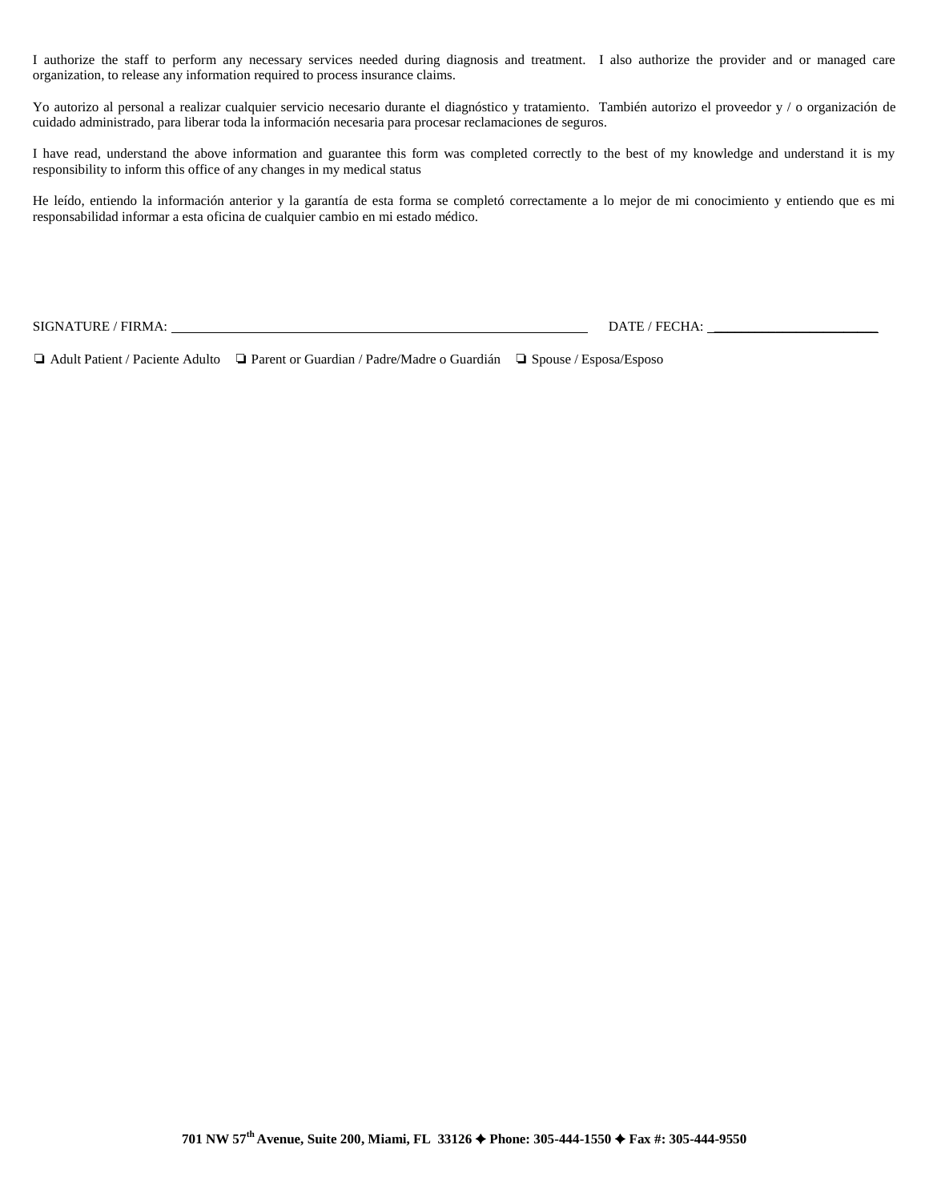I authorize the staff to perform any necessary services needed during diagnosis and treatment. I also authorize the provider and or managed care organization, to release any information required to process insurance claims.

Yo autorizo al personal a realizar cualquier servicio necesario durante el diagnóstico y tratamiento. También autorizo el proveedor y / o organización de cuidado administrado, para liberar toda la información necesaria para procesar reclamaciones de seguros.

I have read, understand the above information and guarantee this form was completed correctly to the best of my knowledge and understand it is my responsibility to inform this office of any changes in my medical status

He leído, entiendo la información anterior y la garantía de esta forma se completó correctamente a lo mejor de mi conocimiento y entiendo que es mi responsabilidad informar a esta oficina de cualquier cambio en mi estado médico.

SIGNATURE / FIRMA: DATE / FECHA: \_\_\_\_\_\_\_\_\_\_\_\_\_\_\_\_\_\_\_\_\_\_\_\_

❏ Adult Patient / Paciente Adulto ❏ Parent or Guardian / Padre/Madre o Guardián ❏ Spouse / Esposa/Esposo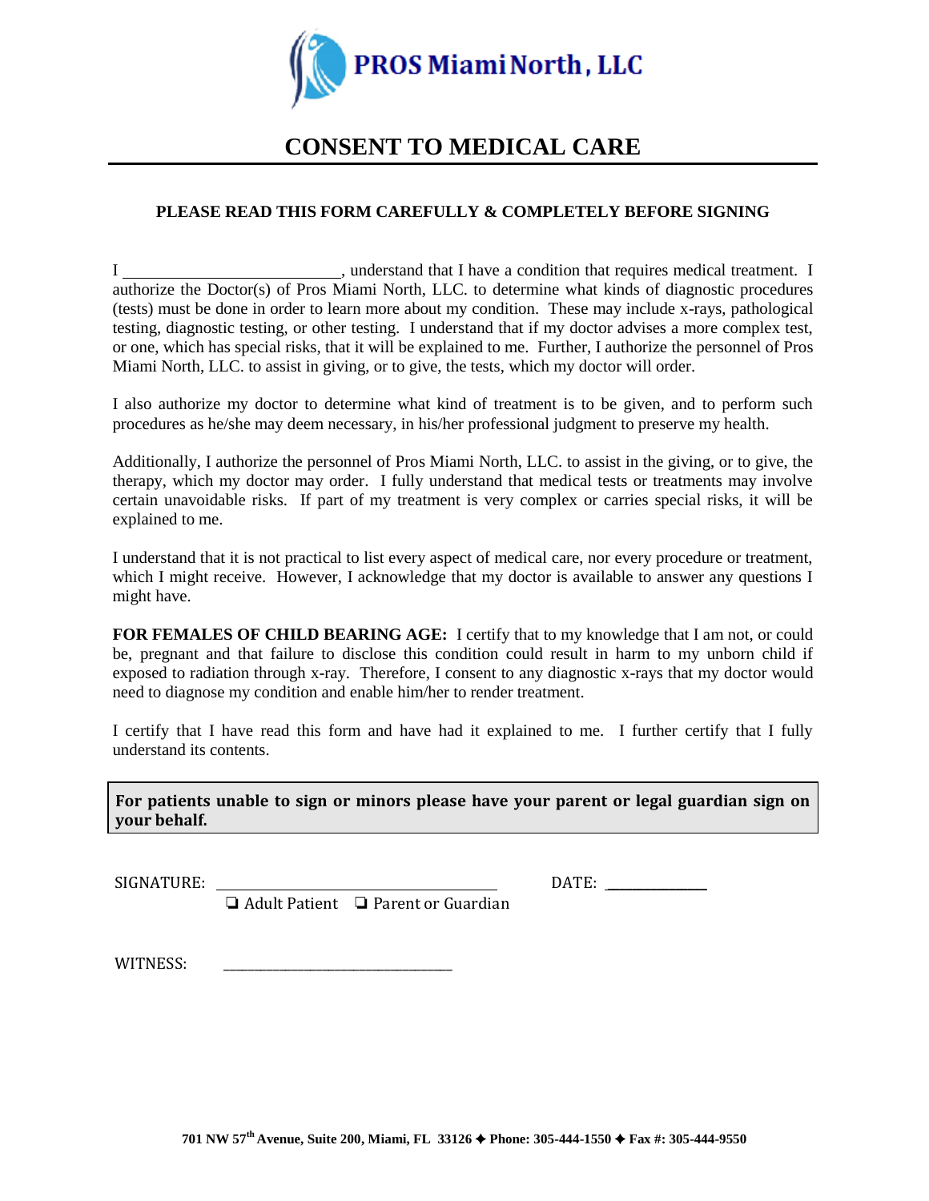

# **CONSENT TO MEDICAL CARE**

## **PLEASE READ THIS FORM CAREFULLY & COMPLETELY BEFORE SIGNING**

I state is a meta-term of the University of the Universe of the Universe medical treatment. I authorize the Doctor(s) of Pros Miami North, LLC. to determine what kinds of diagnostic procedures (tests) must be done in order to learn more about my condition. These may include x-rays, pathological testing, diagnostic testing, or other testing. I understand that if my doctor advises a more complex test, or one, which has special risks, that it will be explained to me. Further, I authorize the personnel of Pros Miami North, LLC. to assist in giving, or to give, the tests, which my doctor will order.

I also authorize my doctor to determine what kind of treatment is to be given, and to perform such procedures as he/she may deem necessary, in his/her professional judgment to preserve my health.

Additionally, I authorize the personnel of Pros Miami North, LLC. to assist in the giving, or to give, the therapy, which my doctor may order. I fully understand that medical tests or treatments may involve certain unavoidable risks. If part of my treatment is very complex or carries special risks, it will be explained to me.

I understand that it is not practical to list every aspect of medical care, nor every procedure or treatment, which I might receive. However, I acknowledge that my doctor is available to answer any questions I might have.

**FOR FEMALES OF CHILD BEARING AGE:** I certify that to my knowledge that I am not, or could be, pregnant and that failure to disclose this condition could result in harm to my unborn child if exposed to radiation through x-ray. Therefore, I consent to any diagnostic x-rays that my doctor would need to diagnose my condition and enable him/her to render treatment.

I certify that I have read this form and have had it explained to me. I further certify that I fully understand its contents.

**For patients unable to sign or minors please have your parent or legal guardian sign on your behalf.**

SIGNATURE: DATE:

❏ Adult Patient ❏ Parent or Guardian

WITNESS: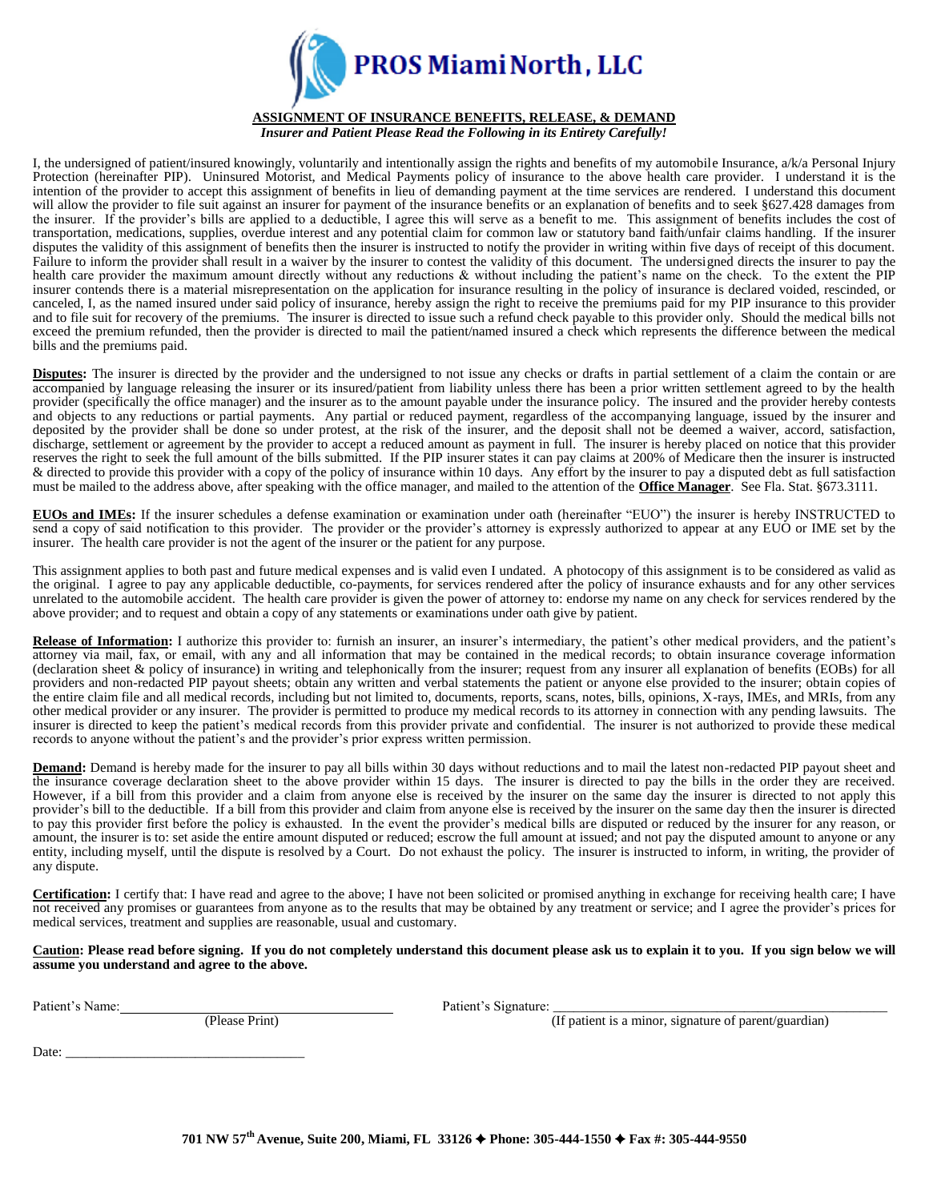

#### **ASSIGNMENT OF INSURANCE BENEFITS, RELEASE, & DEMAND** *Insurer and Patient Please Read the Following in its Entirety Carefully!*

I, the undersigned of patient/insured knowingly, voluntarily and intentionally assign the rights and benefits of my automobile Insurance, a/k/a Personal Injury Protection (hereinafter PIP). Uninsured Motorist, and Medical Payments policy of insurance to the above health care provider. I understand it is the intention of the provider to accept this assignment of benefits in lieu of demanding payment at the time services are rendered. I understand this document will allow the provider to file suit against an insurer for payment of the insurance benefits or an explanation of benefits and to seek §627.428 damages from the insurer. If the provider's bills are applied to a deductible, I agree this will serve as a benefit to me. This assignment of benefits includes the cost of transportation, medications, supplies, overdue interest and any potential claim for common law or statutory band faith/unfair claims handling. If the insurer disputes the validity of this assignment of benefits then the insurer is instructed to notify the provider in writing within five days of receipt of this document. Failure to inform the provider shall result in a waiver by the insurer to contest the validity of this document. The undersigned directs the insurer to pay the health care provider the maximum amount directly without any reductions & without including the patient's name on the check. To the extent the PIP insurer contends there is a material misrepresentation on the application for insurance resulting in the policy of insurance is declared voided, rescinded, or canceled, I, as the named insured under said policy of insurance, hereby assign the right to receive the premiums paid for my PIP insurance to this provider and to file suit for recovery of the premiums. The insurer is directed to issue such a refund check payable to this provider only. Should the medical bills not exceed the premium refunded, then the provider is directed to mail the patient/named insured a check which represents the difference between the medical bills and the premiums paid.

**Disputes:** The insurer is directed by the provider and the undersigned to not issue any checks or drafts in partial settlement of a claim the contain or are accompanied by language releasing the insurer or its insured/patient from liability unless there has been a prior written settlement agreed to by the health provider (specifically the office manager) and the insurer as to the amount payable under the insurance policy. The insured and the provider hereby contests and objects to any reductions or partial payments. Any partial or reduced payment, regardless of the accompanying language, issued by the insurer and deposited by the provider shall be done so under protest, at the risk of the insurer, and the deposit shall not be deemed a waiver, accord, satisfaction, discharge, settlement or agreement by the provider to accept a reduced amount as payment in full. The insurer is hereby placed on notice that this provider reserves the right to seek the full amount of the bills submitted. If the PIP insurer states it can pay claims at 200% of Medicare then the insurer is instructed & directed to provide this provider with a copy of the policy of insurance within 10 days. Any effort by the insurer to pay a disputed debt as full satisfaction must be mailed to the address above, after speaking with the office manager, and mailed to the attention of the **Office Manager**. See Fla. Stat. §673.3111.

**EUOs and IMEs:** If the insurer schedules a defense examination or examination under oath (hereinafter "EUO") the insurer is hereby INSTRUCTED to send a copy of said notification to this provider. The provider or the provider's attorney is expressly authorized to appear at any EUO or IME set by the insurer. The health care provider is not the agent of the insurer or the patient for any purpose.

This assignment applies to both past and future medical expenses and is valid even I undated. A photocopy of this assignment is to be considered as valid as the original. I agree to pay any applicable deductible, co-payments, for services rendered after the policy of insurance exhausts and for any other services unrelated to the automobile accident. The health care provider is given the power of attorney to: endorse my name on any check for services rendered by the above provider; and to request and obtain a copy of any statements or examinations under oath give by patient.

Release of Information: I authorize this provider to: furnish an insurer, an insurer's intermediary, the patient's other medical providers, and the patient's attorney via mail, fax, or email, with any and all information that may be contained in the medical records; to obtain insurance coverage information (declaration sheet & policy of insurance) in writing and telephonically from the insurer; request from any insurer all explanation of benefits (EOBs) for all providers and non-redacted PIP payout sheets; obtain any written and verbal statements the patient or anyone else provided to the insurer; obtain copies of the entire claim file and all medical records, including but not limited to, documents, reports, scans, notes, bills, opinions, X-rays, IMEs, and MRIs, from any other medical provider or any insurer. The provider is permitted to produce my medical records to its attorney in connection with any pending lawsuits. The insurer is directed to keep the patient's medical records from this provider private and confidential. The insurer is not authorized to provide these medical records to anyone without the patient's and the provider's prior express written permission.

**Demand:** Demand is hereby made for the insurer to pay all bills within 30 days without reductions and to mail the latest non-redacted PIP payout sheet and the insurance coverage declaration sheet to the above provider within 15 days. The insurer is directed to pay the bills in the order they are received. However, if a bill from this provider and a claim from anyone else is received by the insurer on the same day the insurer is directed to not apply this provider's bill to the deductible. If a bill from this provider and claim from anyone else is received by the insurer on the same day then the insurer is directed to pay this provider first before the policy is exhausted. In the event the provider's medical bills are disputed or reduced by the insurer for any reason, or amount, the insurer is to: set aside the entire amount disputed or reduced; escrow the full amount at issued; and not pay the disputed amount to anyone or any entity, including myself, until the dispute is resolved by a Court. Do not exhaust the policy. The insurer is instructed to inform, in writing, the provider of any dispute.

**Certification:** I certify that: I have read and agree to the above; I have not been solicited or promised anything in exchange for receiving health care; I have not received any promises or guarantees from anyone as to the results that may be obtained by any treatment or service; and I agree the provider's prices for medical services, treatment and supplies are reasonable, usual and customary.

**Caution: Please read before signing. If you do not completely understand this document please ask us to explain it to you. If you sign below we will assume you understand and agree to the above.**

Patient's Name: Change Print Patient's Signature: Patient's Signature:

(If patient is a minor, signature of parent/guardian)

Date: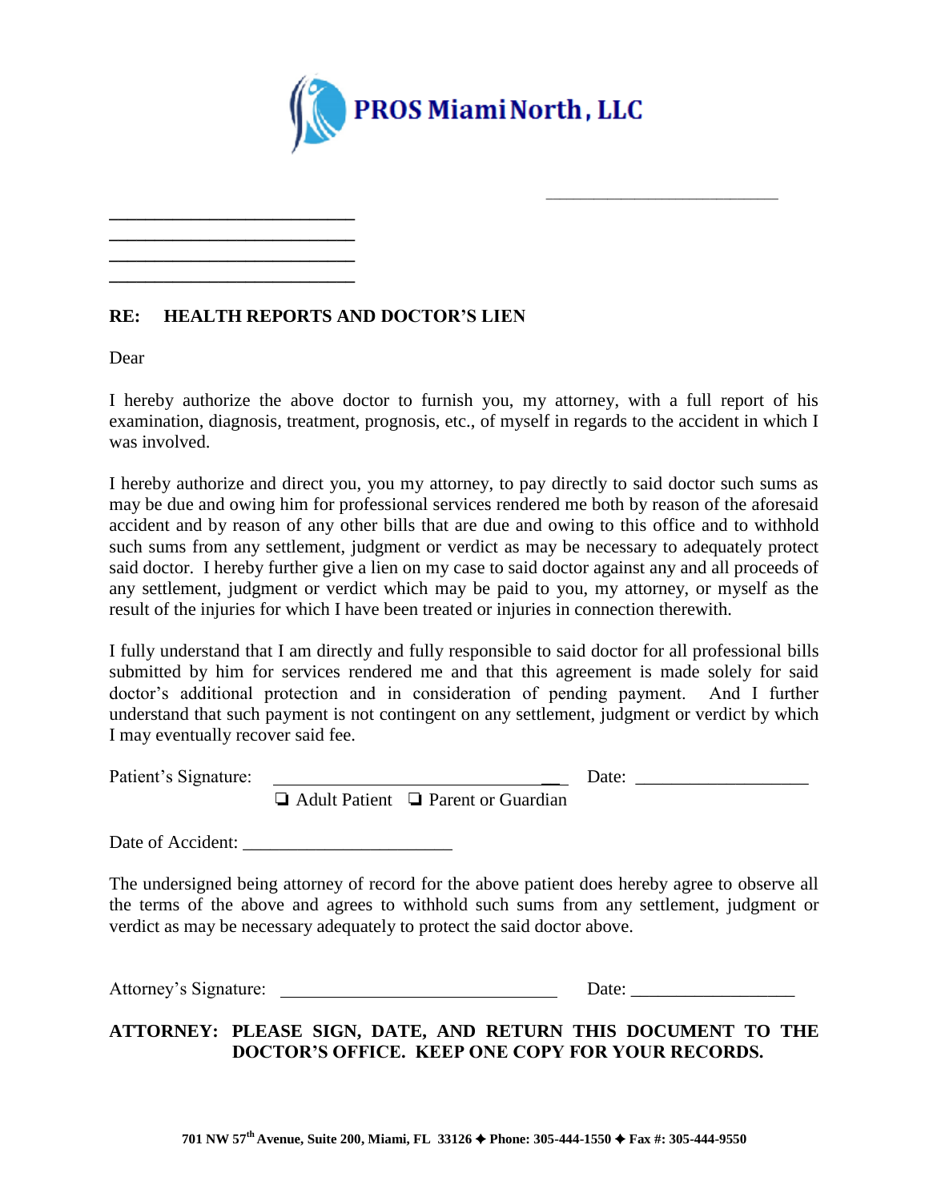

## **RE: HEALTH REPORTS AND DOCTOR'S LIEN**

**\_\_\_\_\_\_\_\_\_\_\_\_\_\_\_\_\_\_\_\_\_\_\_\_\_\_\_ \_\_\_\_\_\_\_\_\_\_\_\_\_\_\_\_\_\_\_\_\_\_\_\_\_\_\_ \_\_\_\_\_\_\_\_\_\_\_\_\_\_\_\_\_\_\_\_\_\_\_\_\_\_\_ \_\_\_\_\_\_\_\_\_\_\_\_\_\_\_\_\_\_\_\_\_\_\_\_\_\_\_**

Dear

I hereby authorize the above doctor to furnish you, my attorney, with a full report of his examination, diagnosis, treatment, prognosis, etc., of myself in regards to the accident in which I was involved.

I hereby authorize and direct you, you my attorney, to pay directly to said doctor such sums as may be due and owing him for professional services rendered me both by reason of the aforesaid accident and by reason of any other bills that are due and owing to this office and to withhold such sums from any settlement, judgment or verdict as may be necessary to adequately protect said doctor. I hereby further give a lien on my case to said doctor against any and all proceeds of any settlement, judgment or verdict which may be paid to you, my attorney, or myself as the result of the injuries for which I have been treated or injuries in connection therewith.

I fully understand that I am directly and fully responsible to said doctor for all professional bills submitted by him for services rendered me and that this agreement is made solely for said doctor's additional protection and in consideration of pending payment. And I further understand that such payment is not contingent on any settlement, judgment or verdict by which I may eventually recover said fee.

Patient's Signature: \_\_ Date: \_\_\_\_\_\_\_\_\_\_\_\_\_\_\_\_\_\_\_

\_\_\_\_\_\_\_\_\_\_\_\_\_\_\_\_\_\_\_\_\_\_\_\_\_\_\_\_\_\_\_\_\_\_

❏ Adult Patient ❏ Parent or Guardian

Date of Accident:

The undersigned being attorney of record for the above patient does hereby agree to observe all the terms of the above and agrees to withhold such sums from any settlement, judgment or verdict as may be necessary adequately to protect the said doctor above.

Attorney's Signature: Date: Date:

**ATTORNEY: PLEASE SIGN, DATE, AND RETURN THIS DOCUMENT TO THE DOCTOR'S OFFICE. KEEP ONE COPY FOR YOUR RECORDS.**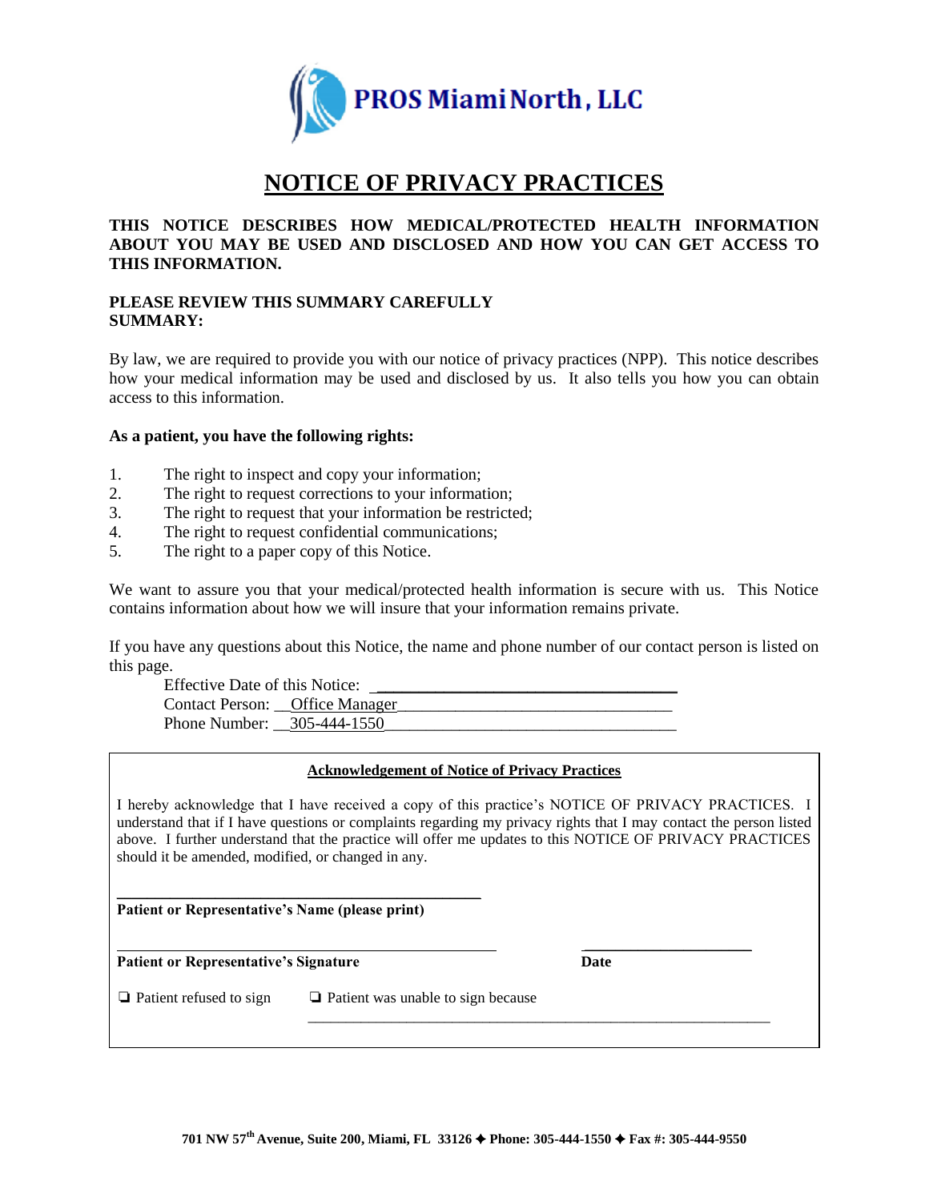

# **NOTICE OF PRIVACY PRACTICES**

### **THIS NOTICE DESCRIBES HOW MEDICAL/PROTECTED HEALTH INFORMATION ABOUT YOU MAY BE USED AND DISCLOSED AND HOW YOU CAN GET ACCESS TO THIS INFORMATION.**

### **PLEASE REVIEW THIS SUMMARY CAREFULLY SUMMARY:**

By law, we are required to provide you with our notice of privacy practices (NPP). This notice describes how your medical information may be used and disclosed by us. It also tells you how you can obtain access to this information.

### **As a patient, you have the following rights:**

- 1. The right to inspect and copy your information;
- 2. The right to request corrections to your information;
- 3. The right to request that your information be restricted;
- 4. The right to request confidential communications;
- 5. The right to a paper copy of this Notice.

We want to assure you that your medical/protected health information is secure with us. This Notice contains information about how we will insure that your information remains private.

If you have any questions about this Notice, the name and phone number of our contact person is listed on this page.

Effective Date of this Notice: Contact Person: \_\_Office Manager Phone Number: \_\_305-444-1550

### **Acknowledgement of Notice of Privacy Practices**

I hereby acknowledge that I have received a copy of this practice's NOTICE OF PRIVACY PRACTICES. I understand that if I have questions or complaints regarding my privacy rights that I may contact the person listed above. I further understand that the practice will offer me updates to this NOTICE OF PRIVACY PRACTICES should it be amended, modified, or changed in any.

**Patient or Representative's Name (please print)**

\_\_\_\_\_\_\_\_\_\_\_\_\_\_\_\_\_\_\_\_\_\_\_\_\_\_\_\_\_\_\_\_\_\_\_\_\_\_\_\_\_\_\_\_\_\_\_\_

**Patient or Representative's Signature Date**

\_\_\_\_\_\_\_\_\_\_\_\_\_\_\_\_\_\_\_\_\_\_\_\_\_\_\_\_\_\_\_\_\_\_\_\_\_\_\_\_\_\_\_\_\_\_\_\_\_\_\_\_\_\_\_\_\_\_\_\_\_

❏ Patient refused to sign ❏ Patient was unable to sign because

\_\_\_\_\_\_\_\_\_\_\_\_\_\_\_\_\_\_\_\_\_\_